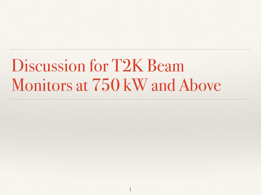## Discussion for T2K Beam Monitors at 750 kW and Above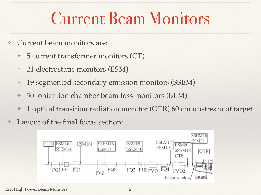#### Current Beam Monitors

- ❖ Current beam monitors are:
	- ❖ 5 current transformer monitors (CT)
	- ❖ 21 electrostatic monitors (ESM)
	- ❖ 19 segmented secondary emission monitors (SSEM)
	- ❖ 50 ionization chamber beam loss monitors (BLM)
	- ❖ 1 optical transition radiation monitor (OTR) 60 cm upstream of target
- ❖ Layout of the final focus section:

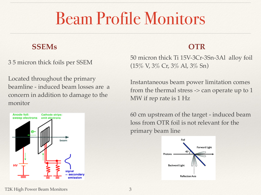#### Beam Profile Monitors

#### **SSEMs OTR**

3 5 micron thick foils per SSEM

Located throughout the primary beamline - induced beam losses are a concern in addition to damage to the monitor



50 micron thick Ti 15V-3Cr-3Sn-3Al alloy foil (15% V, 3% Cr, 3% Al, 3% Sn)

Instantaneous beam power limitation comes from the thermal stress -> can operate up to 1 MW if rep rate is 1 Hz

60 cm upstream of the target - induced beam loss from OTR foil is not relevant for the primary beam line

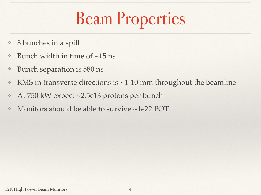# Beam Properties

- ❖ 8 bunches in a spill
- ❖ Bunch width in time of ~15 ns
- ❖ Bunch separation is 580 ns
- ❖ RMS in transverse directions is ~1-10 mm throughout the beamline
- ❖ At 750 kW expect ~2.5e13 protons per bunch
- ❖ Monitors should be able to survive ~1e22 POT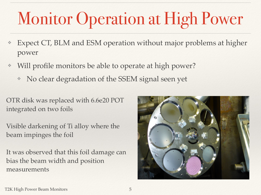# Monitor Operation at High Power

- Expect CT, BLM and ESM operation without major problems at higher power
- Will profile monitors be able to operate at high power?
	- No clear degradation of the SSEM signal seen yet

OTR disk was replaced with 6.6e20 POT integrated on two foils

Visible darkening of Ti alloy where the beam impinges the foil

It was observed that this foil damage can bias the beam width and position measurements

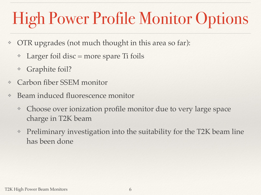# High Power Profile Monitor Options

- ❖ OTR upgrades (not much thought in this area so far):
	- Larger foil disc  $=$  more spare Ti foils
	- Graphite foil?
- ❖ Carbon fiber SSEM monitor
- ❖ Beam induced fluorescence monitor
	- ❖ Choose over ionization profile monitor due to very large space charge in T2K beam
	- ❖ Preliminary investigation into the suitability for the T2K beam line has been done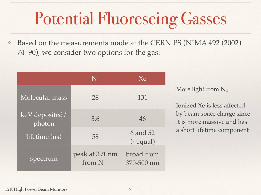# Potential Fluorescing Gasses

Based on the measurements made at the CERN PS (NIMA 492 (2002) 74–90), we consider two options for the gas:

|                          | N                        | Xe                         |
|--------------------------|--------------------------|----------------------------|
| Molecular mass           | 28                       | 131                        |
| keV deposited/<br>photon | 3.6                      | 46                         |
| lifetime (ns)            | 58                       | 6 and 52<br>$(\sim$ equal) |
| spectrum                 | peak at 391 nm<br>from N | broad from<br>370-500 nm   |

More light from N<sub>2</sub>

Ionized Xe is less affected by beam space charge since it is more massive and has a short lifetime component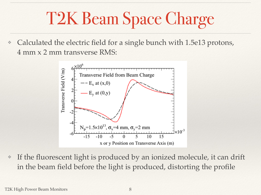# T2K Beam Space Charge

Calculated the electric field for a single bunch with 1.5e13 protons, 4 mm x 2 mm transverse RMS:



❖ If the fluorescent light is produced by an ionized molecule, it can drift in the beam field before the light is produced, distorting the profile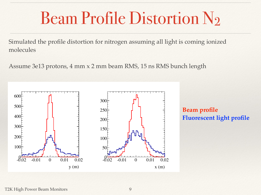### Beam Profile Distortion N2

Simulated the profile distortion for nitrogen assuming all light is coming ionized molecules

Assume 3e13 protons, 4 mm x 2 mm beam RMS, 15 ns RMS bunch length



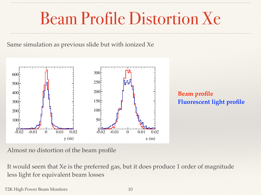### Beam Profile Distortion Xe

Same simulation as previous slide but with ionized Xe



**Beam profile Fluorescent light profile**

Almost no distortion of the beam profile

It would seem that Xe is the preferred gas, but it does produce 1 order of magnitude less light for equivalent beam losses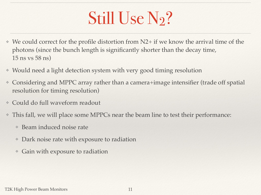## Still Use N<sub>2</sub>?

- ❖ We could correct for the profile distortion from N2+ if we know the arrival time of the photons (since the bunch length is significantly shorter than the decay time, 15 ns vs 58 ns)
- ❖ Would need a light detection system with very good timing resolution
- ❖ Considering and MPPC array rather than a camera+image intensifier (trade off spatial resolution for timing resolution)
- ❖ Could do full waveform readout
- ❖ This fall, we will place some MPPCs near the beam line to test their performance:
	- ❖ Beam induced noise rate
	- ❖ Dark noise rate with exposure to radiation
	- ❖ Gain with exposure to radiation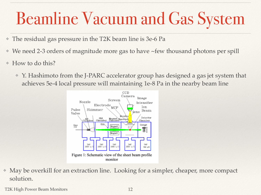# Beamline Vacuum and Gas System

- ❖ The residual gas pressure in the T2K beam line is 3e-6 Pa
- ❖ We need 2-3 orders of magnitude more gas to have ~few thousand photons per spill
- ❖ How to do this?
	- ❖ Y. Hashimoto from the J-PARC accelerator group has designed a gas jet system that achieves 5e-4 local pressure will maintaining 1e-8 Pa in the nearby beam line



❖ May be overkill for an extraction line. Looking for a simpler, cheaper, more compact solution.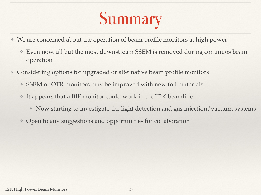# Summary

- ❖ We are concerned about the operation of beam profile monitors at high power
	- ❖ Even now, all but the most downstream SSEM is removed during continuos beam operation
- ❖ Considering options for upgraded or alternative beam profile monitors
	- SSEM or OTR monitors may be improved with new foil materials
	- ❖ It appears that a BIF monitor could work in the T2K beamline
		- ❖ Now starting to investigate the light detection and gas injection/vacuum systems
	- ❖ Open to any suggestions and opportunities for collaboration